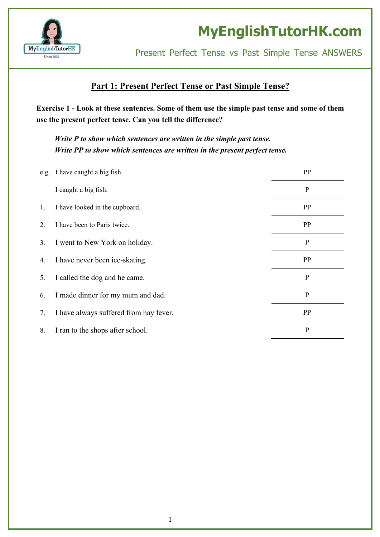

Present Perfect Tense vs Past Simple Tense ANSWERS

#### **Part 1: Present Perfect Tense or Past Simple Tense?**

Exercise 1 - Look at these sentences. Some of them use the simple past tense and some of them **use the present perfect tense. Can you tell the difference?**

*Write P to show which sentences are written in the simple past tense. Write PP to show which sentences are written in the present perfect tense.*

|    | e.g. I have caught a big fish.         | PP           |
|----|----------------------------------------|--------------|
|    | I caught a big fish.                   | ${\bf P}$    |
| 1. | I have looked in the cupboard.         | PP           |
| 2. | I have been to Paris twice.            | PP           |
| 3. | I went to New York on holiday.         | $\mathbf P$  |
| 4. | I have never been ice-skating.         | PP           |
| 5. | I called the dog and he came.          | $\mathbf P$  |
| 6. | I made dinner for my mum and dad.      | $\mathbf{P}$ |
| 7. | I have always suffered from hay fever. | PP           |
| 8. | I ran to the shops after school.       | $\mathbf P$  |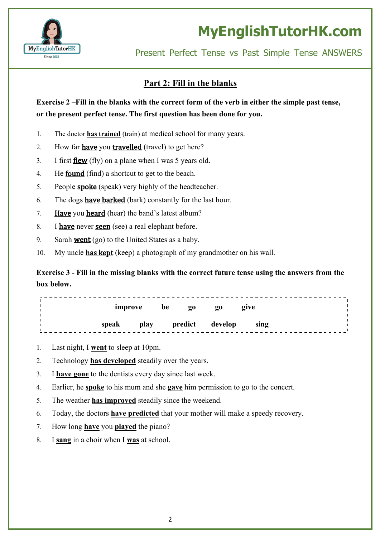

Present Perfect Tense vs Past Simple Tense ANSWERS

#### **Part 2: Fill in the blanks**

Exercise 2 – Fill in the blanks with the correct form of the verb in either the simple past tense, **or the present perfect tense. The first question has been done for you.**

- 1. The doctor **has trained** (train) at medical school for many years.
- 2. How far **have** you **travelled** (travel) to get here?
- 3. I first flew (fly) on a plane when I was 5 years old.
- 4. He **found** (find) a shortcut to get to the beach.
- 5. People spoke (speak) very highly of the headteacher.
- 6. The dogs **have barked** (bark) constantly for the last hour.
- 7. Have you heard (hear) the band's latest album?
- 8. I have never seen (see) a real elephant before.
- 9. Sarah **went** (go) to the United States as a baby.
- 10. My uncle **has kept** (keep) a photograph of my grandmother on his wall.

**Exercise 3 - Fill in the missing blanks with the correct future tense using the answers from the box below.**

| improve |      | be | 20 | $\overline{0}0$ | give |  |
|---------|------|----|----|-----------------|------|--|
| speak   | play |    |    | predict develop | sing |  |

- 1. Last night, I **went** to sleep at 10pm.
- 2. Technology **has developed** steadily over the years.
- 3. I **have gone** to the dentists every day since last week.
- 4. Earlier, he **spoke** to his mum and she **gave** him permission to go to the concert.
- 5. The weather **has improved** steadily since the weekend.
- 6. Today, the doctors **have predicted** that your mother will make a speedy recovery.
- 7. How long **have** you **played** the piano?
- 8. I **sang** in a choir when I **was** at school.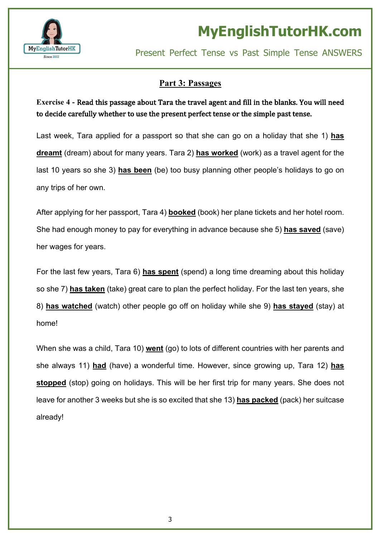

### **Part 3: Passages**

### **Exercise** 4 - Read this passage about Tara the travel agent and fill in the blanks. You will need to decide carefully whether to use the present perfect tense or the simple past tense.

Last week, Tara applied for a passport so that she can go on a holiday that she 1) **has dreamt** (dream) about for many years. Tara 2) **has worked** (work) as a travel agent for the last 10 years so she 3) **has been** (be) too busy planning other people's holidays to go on any trips of her own.

After applying for her passport, Tara 4) **booked** (book) her plane tickets and her hotel room. She had enough money to pay for everything in advance because she 5) **has saved** (save) her wages for years.

For the last few years, Tara 6) **has spent** (spend) a long time dreaming about this holiday so she 7) **has taken** (take) great care to plan the perfect holiday. For the last ten years, she 8) **has watched** (watch) other people go off on holiday while she 9) **has stayed** (stay) at home!

When she was a child, Tara 10) **went** (go) to lots of different countries with her parents and she always 11) **had** (have) a wonderful time. However, since growing up, Tara 12) **has stopped** (stop) going on holidays. This will be her first trip for many years. She does not leave for another 3 weeks but she is so excited that she 13) **has packed** (pack) her suitcase already!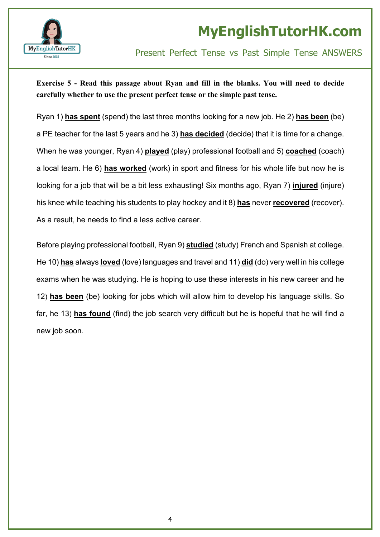

### Present Perfect Tense vs Past Simple Tense ANSWERS

#### **Exercise 5 - Read this passage about Ryan and fill in the blanks. You will need to decide carefully whether to use the present perfect tense or the simple past tense.**

Ryan 1) **has spent** (spend) the last three months looking for a new job. He 2) **has been** (be) a PE teacher for the last 5 years and he 3) **has decided** (decide) that it is time for a change. When he was younger, Ryan 4) **played** (play) professional football and 5) **coached** (coach) a local team. He 6) **has worked** (work) in sport and fitness for his whole life but now he is looking for a job that will be a bit less exhausting! Six months ago, Ryan 7) **injured** (injure) his knee while teaching his students to play hockey and it 8) **has** never **recovered** (recover). As a result, he needs to find a less active career.

Before playing professional football, Ryan 9) **studied** (study) French and Spanish at college. He 10) **has** always **loved** (love) languages and travel and 11) **did** (do) very well in his college exams when he was studying. He is hoping to use these interests in his new career and he 12) **has been** (be) looking for jobs which will allow him to develop his language skills. So far, he 13) **has found** (find) the job search very difficult but he is hopeful that he will find a new job soon.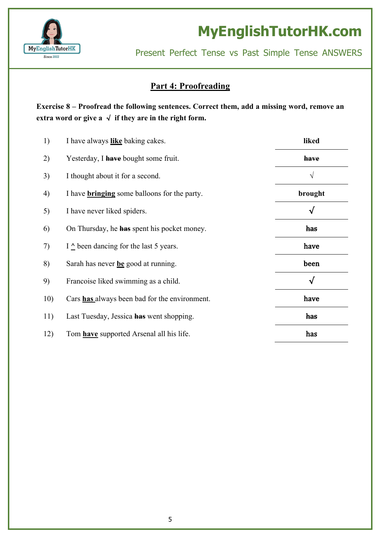

Present Perfect Tense vs Past Simple Tense ANSWERS

#### **Part 4: Proofreading**

**Exercise 8 – Proofread the following sentences. Correct them, add a missing word, remove an extra word** or give  $a \sqrt{f}$  **if** they are in the right form.

| 1)  | I have always like baking cakes.                    | liked        |
|-----|-----------------------------------------------------|--------------|
| 2)  | Yesterday, I have bought some fruit.                | have         |
| 3)  | I thought about it for a second.                    | $\sqrt{ }$   |
| 4)  | I have <b>bringing</b> some balloons for the party. | brought      |
| 5)  | I have never liked spiders.                         | √            |
| 6)  | On Thursday, he <b>has</b> spent his pocket money.  | has          |
| 7)  | I $\triangle$ been dancing for the last 5 years.    | have         |
| 8)  | Sarah has never be good at running.                 | been         |
| 9)  | Francoise liked swimming as a child.                | $\checkmark$ |
| 10) | Cars has always been bad for the environment.       | have         |
| 11) | Last Tuesday, Jessica has went shopping.            | has          |
| 12) | Tom <b>have</b> supported Arsenal all his life.     | has          |